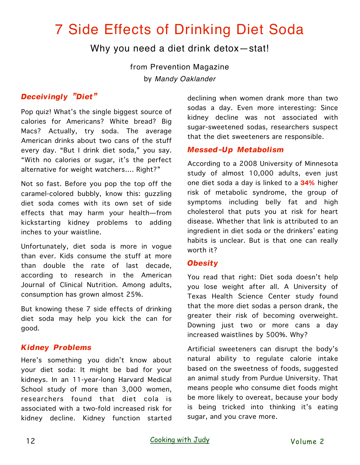# 7 Side Effects of Drinking Diet Soda

## Why you need a diet drink detox—stat!

from Prevention Magazine by *[Mandy Oaklander](http://www.prevention.com/author/mandy-oaklander)*

## *Deceivingly "Diet"*

Pop quiz! What's the single biggest source of calories for Americans? White bread? Big Macs? Actually, try soda. The average American drinks about two cans of the stuff every day. "But I drink diet soda," you say. "With no calories or sugar, it's the perfect alternative for weight watchers…. Right?"

Not so fast. Before you pop the top off the caramel-colored bubbly, know this: guzzling diet soda comes with its own set of side effects that may harm your health—from kickstarting kidney problems to adding inches to your waistline.

Unfortunately, diet soda is more in vogue than ever. Kids consume the stuff at more than double the rate of last decade, according to research in the American Journal of Clinical Nutrition. Among adults, consumption has grown almost 25%.

But knowing these 7 side effects of drinking diet soda may help you kick the can for good.

## *Kidney Problems*

Here's something you didn't know about your diet soda: It might be bad for your kidneys. In an 11-year-long Harvard Medical School study of more than 3,000 women, researchers found that diet cola is associated with a two-fold increased risk for kidney decline. Kidney function started declining when women drank more than two sodas a day. Even more interesting: Since kidney decline was not associated with sugar-sweetened sodas, researchers suspect that the diet sweeteners are responsible.

## *Messed-Up Metabolism*

According to a 2008 University of Minnesota study of almost 10,000 adults, even just one diet soda a day is linked to a **34%** higher risk of metabolic syndrome, the group of symptoms including belly fat and high cholesterol that puts you at risk for heart disease. Whether that link is attributed to an ingredient in diet soda or the drinkers' eating habits is unclear. But is that one can really worth it?

#### *Obesity*

You read that right: Diet soda doesn't help you lose weight after all. A University of Texas Health Science Center study found that the more diet sodas a person drank, the greater their risk of becoming overweight. Downing just two or more cans a day increased waistlines by 500%. Why?

Artificial sweeteners can disrupt the body's natural ability to regulate calorie intake based on the sweetness of foods, suggested an animal study from Purdue University. That means people who consume diet foods might be more likely to overeat, because your body is being tricked into thinking it's eating sugar, and you crave more.